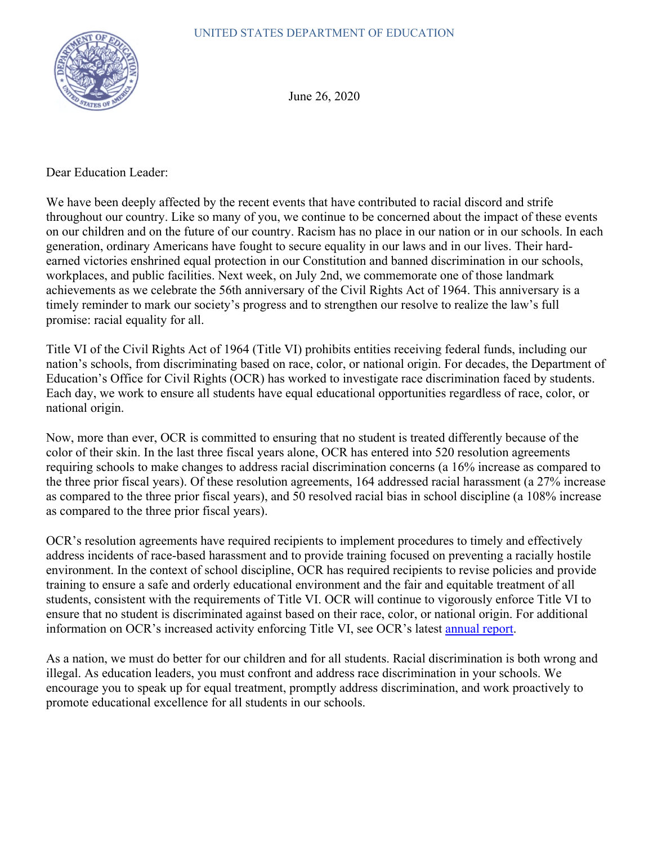

June 26, 2020

Dear Education Leader:

We have been deeply affected by the recent events that have contributed to racial discord and strife throughout our country. Like so many of you, we continue to be concerned about the impact of these events on our children and on the future of our country. Racism has no place in our nation or in our schools. In each generation, ordinary Americans have fought to secure equality in our laws and in our lives. Their hardearned victories enshrined equal protection in our Constitution and banned discrimination in our schools, workplaces, and public facilities. Next week, on July 2nd, we commemorate one of those landmark achievements as we celebrate the 56th anniversary of the Civil Rights Act of 1964. This anniversary is a timely reminder to mark our society's progress and to strengthen our resolve to realize the law's full promise: racial equality for all.

Title VI of the Civil Rights Act of 1964 (Title VI) prohibits entities receiving federal funds, including our nation's schools, from discriminating based on race, color, or national origin. For decades, the Department of Education's Office for Civil Rights (OCR) has worked to investigate race discrimination faced by students. Each day, we work to ensure all students have equal educational opportunities regardless of race, color, or national origin.

Now, more than ever, OCR is committed to ensuring that no student is treated differently because of the color of their skin. In the last three fiscal years alone, OCR has entered into 520 resolution agreements requiring schools to make changes to address racial discrimination concerns (a 16% increase as compared to the three prior fiscal years). Of these resolution agreements, 164 addressed racial harassment (a 27% increase as compared to the three prior fiscal years), and 50 resolved racial bias in school discipline (a 108% increase as compared to the three prior fiscal years).

OCR's resolution agreements have required recipients to implement procedures to timely and effectively address incidents of race-based harassment and to provide training focused on preventing a racially hostile environment. In the context of school discipline, OCR has required recipients to revise policies and provide training to ensure a safe and orderly educational environment and the fair and equitable treatment of all students, consistent with the requirements of Title VI. OCR will continue to vigorously enforce Title VI to ensure that no student is discriminated against based on their race, color, or national origin. For additional information on OCR's increased activity enforcing Title VI, see OCR's latest [annual report.](https://www2.ed.gov/about/reports/annual/ocr/report-to-president-and-secretary-of-education-2017-18.pdf)

As a nation, we must do better for our children and for all students. Racial discrimination is both wrong and illegal. As education leaders, you must confront and address race discrimination in your schools. We encourage you to speak up for equal treatment, promptly address discrimination, and work proactively to promote educational excellence for all students in our schools.